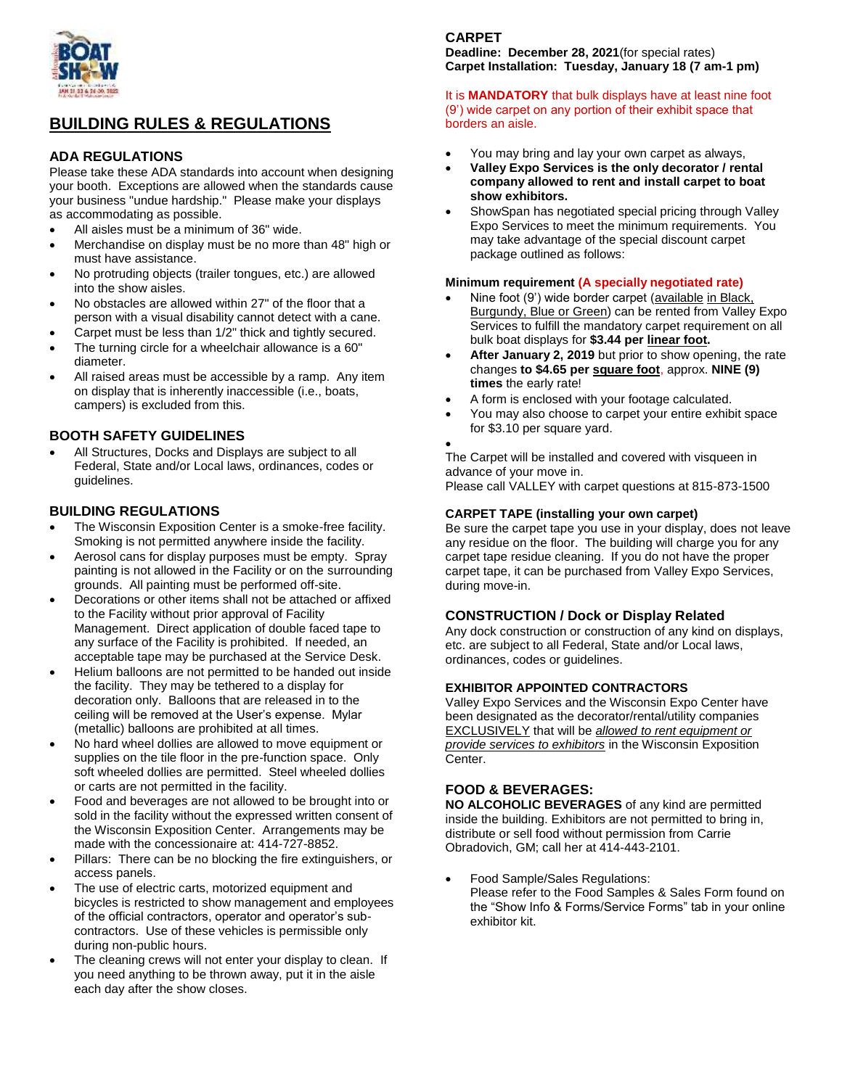

# **BUILDING RULES & REGULATIONS**

#### **ADA REGULATIONS**

Please take these ADA standards into account when designing your booth. Exceptions are allowed when the standards cause your business "undue hardship." Please make your displays as accommodating as possible.

- All aisles must be a minimum of 36" wide.
- Merchandise on display must be no more than 48" high or must have assistance.
- No protruding objects (trailer tongues, etc.) are allowed into the show aisles.
- No obstacles are allowed within 27" of the floor that a person with a visual disability cannot detect with a cane.
- Carpet must be less than 1/2" thick and tightly secured.
- The turning circle for a wheelchair allowance is a 60" diameter.
- All raised areas must be accessible by a ramp. Any item on display that is inherently inaccessible (i.e., boats, campers) is excluded from this.

## **BOOTH SAFETY GUIDELINES**

 All Structures, Docks and Displays are subject to all Federal, State and/or Local laws, ordinances, codes or guidelines.

## **BUILDING REGULATIONS**

- The Wisconsin Exposition Center is a smoke-free facility. Smoking is not permitted anywhere inside the facility.
- Aerosol cans for display purposes must be empty. Spray painting is not allowed in the Facility or on the surrounding grounds. All painting must be performed off-site.
- Decorations or other items shall not be attached or affixed to the Facility without prior approval of Facility Management. Direct application of double faced tape to any surface of the Facility is prohibited. If needed, an acceptable tape may be purchased at the Service Desk.
- Helium balloons are not permitted to be handed out inside the facility. They may be tethered to a display for decoration only. Balloons that are released in to the ceiling will be removed at the User's expense. Mylar (metallic) balloons are prohibited at all times.
- No hard wheel dollies are allowed to move equipment or supplies on the tile floor in the pre-function space. Only soft wheeled dollies are permitted. Steel wheeled dollies or carts are not permitted in the facility.
- Food and beverages are not allowed to be brought into or sold in the facility without the expressed written consent of the Wisconsin Exposition Center. Arrangements may be made with the concessionaire at: 414-727-8852.
- Pillars: There can be no blocking the fire extinguishers, or access panels.
- The use of electric carts, motorized equipment and bicycles is restricted to show management and employees of the official contractors, operator and operator's subcontractors. Use of these vehicles is permissible only during non-public hours.
- The cleaning crews will not enter your display to clean. If you need anything to be thrown away, put it in the aisle each day after the show closes.

# **CARPET**

**Deadline: December 28, 2021**(for special rates) **Carpet Installation: Tuesday, January 18 (7 am-1 pm)**

#### It is **MANDATORY** that bulk displays have at least nine foot (9') wide carpet on any portion of their exhibit space that borders an aisle.

- You may bring and lay your own carpet as always,
- **Valley Expo Services is the only decorator / rental company allowed to rent and install carpet to boat show exhibitors.**
- ShowSpan has negotiated special pricing through Valley Expo Services to meet the minimum requirements. You may take advantage of the special discount carpet package outlined as follows:

#### **Minimum requirement (A specially negotiated rate)**

- Nine foot (9') wide border carpet (available in Black, Burgundy, Blue or Green) can be rented from Valley Expo Services to fulfill the mandatory carpet requirement on all bulk boat displays for **\$3.44 per linear foot.**
- **After January 2, 2019** but prior to show opening, the rate changes **to \$4.65 per square foot**, approx. **NINE (9) times** the early rate!
- A form is enclosed with your footage calculated.
- You may also choose to carpet your entire exhibit space for \$3.10 per square yard.
	-

 $\bullet$ 

The Carpet will be installed and covered with visqueen in advance of your move in.

Please call VALLEY with carpet questions at 815-873-1500

#### **CARPET TAPE (installing your own carpet)**

Be sure the carpet tape you use in your display, does not leave any residue on the floor. The building will charge you for any carpet tape residue cleaning. If you do not have the proper carpet tape, it can be purchased from Valley Expo Services, during move-in.

#### **CONSTRUCTION / Dock or Display Related**

Any dock construction or construction of any kind on displays, etc. are subject to all Federal, State and/or Local laws, ordinances, codes or guidelines.

#### **EXHIBITOR APPOINTED CONTRACTORS**

Valley Expo Services and the Wisconsin Expo Center have been designated as the decorator/rental/utility companies EXCLUSIVELY that will be *allowed to rent equipment or provide services to exhibitors* in the Wisconsin Exposition Center.

#### **FOOD & BEVERAGES:**

**NO ALCOHOLIC BEVERAGES** of any kind are permitted inside the building. Exhibitors are not permitted to bring in, distribute or sell food without permission from Carrie Obradovich, GM; call her at 414-443-2101.

 Food Sample/Sales Regulations: Please refer to the Food Samples & Sales Form found on the "Show Info & Forms/Service Forms" tab in your online exhibitor kit.